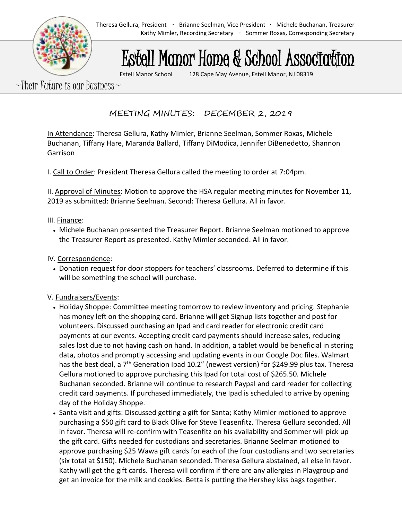# Estell Manor Home & School Association

Estell Manor School 128 Cape May Avenue, Estell Manor, NJ 08319

 $\sim$ Their Future is our Business $\sim$ 

MEETING MINUTES: DECEMBER 2, 2019

In Attendance: Theresa Gellura, Kathy Mimler, Brianne Seelman, Sommer Roxas, Michele Buchanan, Tiffany Hare, Maranda Ballard, Tiffany DiModica, Jennifer DiBenedetto, Shannon Garrison

I. Call to Order: President Theresa Gellura called the meeting to order at 7:04pm.

II. Approval of Minutes: Motion to approve the HSA regular meeting minutes for November 11, 2019 as submitted: Brianne Seelman. Second: Theresa Gellura. All in favor.

#### III. Finance:

• Michele Buchanan presented the Treasurer Report. Brianne Seelman motioned to approve the Treasurer Report as presented. Kathy Mimler seconded. All in favor.

## IV. Correspondence:

• Donation request for door stoppers for teachers' classrooms. Deferred to determine if this will be something the school will purchase.

### V. Fundraisers/Events:

- Holiday Shoppe: Committee meeting tomorrow to review inventory and pricing. Stephanie has money left on the shopping card. Brianne will get Signup lists together and post for volunteers. Discussed purchasing an Ipad and card reader for electronic credit card payments at our events. Accepting credit card payments should increase sales, reducing sales lost due to not having cash on hand. In addition, a tablet would be beneficial in storing data, photos and promptly accessing and updating events in our Google Doc files. Walmart has the best deal, a 7<sup>th</sup> Generation Ipad 10.2" (newest version) for \$249.99 plus tax. Theresa Gellura motioned to approve purchasing this Ipad for total cost of \$265.50. Michele Buchanan seconded. Brianne will continue to research Paypal and card reader for collecting credit card payments. If purchased immediately, the Ipad is scheduled to arrive by opening day of the Holiday Shoppe.
- Santa visit and gifts: Discussed getting a gift for Santa; Kathy Mimler motioned to approve purchasing a \$50 gift card to Black Olive for Steve Teasenfitz. Theresa Gellura seconded. All in favor. Theresa will re-confirm with Teasenfitz on his availability and Sommer will pick up the gift card. Gifts needed for custodians and secretaries. Brianne Seelman motioned to approve purchasing \$25 Wawa gift cards for each of the four custodians and two secretaries (six total at \$150). Michele Buchanan seconded. Theresa Gellura abstained, all else in favor. Kathy will get the gift cards. Theresa will confirm if there are any allergies in Playgroup and get an invoice for the milk and cookies. Betta is putting the Hershey kiss bags together.